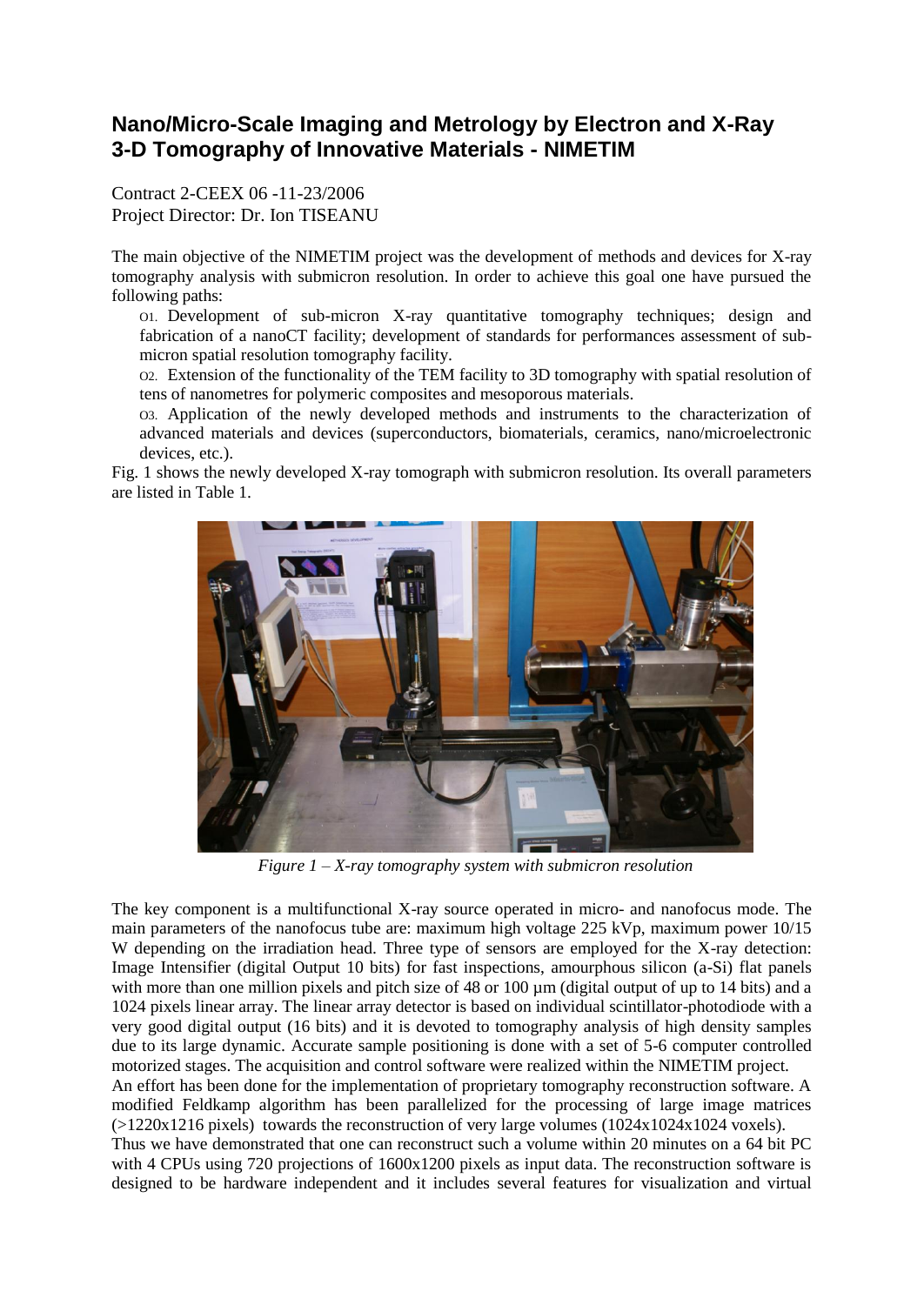## **Nano/Micro-Scale Imaging and Metrology by Electron and X-Ray 3-D Tomography of Innovative Materials - NIMETIM**

Contract 2-CEEX 06 -11-23/2006 Project Director: Dr. Ion TISEANU

The main objective of the NIMETIM project was the development of methods and devices for X-ray tomography analysis with submicron resolution. In order to achieve this goal one have pursued the following paths:

O1. Development of sub-micron X-ray quantitative tomography techniques; design and fabrication of a nanoCT facility; development of standards for performances assessment of submicron spatial resolution tomography facility.

O2. Extension of the functionality of the TEM facility to 3D tomography with spatial resolution of tens of nanometres for polymeric composites and mesoporous materials.

O3. Application of the newly developed methods and instruments to the characterization of advanced materials and devices (superconductors, biomaterials, ceramics, nano/microelectronic devices, etc.).

Fig. 1 shows the newly developed X-ray tomograph with submicron resolution. Its overall parameters are listed in Table 1.



*Figure 1 – X-ray tomography system with submicron resolution*

The key component is a multifunctional X-ray source operated in micro- and nanofocus mode. The main parameters of the nanofocus tube are: maximum high voltage 225 kVp, maximum power 10/15 W depending on the irradiation head. Three type of sensors are employed for the X-ray detection: Image Intensifier (digital Output 10 bits) for fast inspections, amourphous silicon (a-Si) flat panels with more than one million pixels and pitch size of 48 or 100  $\mu$ m (digital output of up to 14 bits) and a 1024 pixels linear array. The linear array detector is based on individual scintillator-photodiode with a very good digital output (16 bits) and it is devoted to tomography analysis of high density samples due to its large dynamic. Accurate sample positioning is done with a set of 5-6 computer controlled motorized stages. The acquisition and control software were realized within the NIMETIM project. An effort has been done for the implementation of proprietary tomography reconstruction software. A modified Feldkamp algorithm has been parallelized for the processing of large image matrices  $(>1220x1216$  pixels) towards the reconstruction of very large volumes  $(1024x1024x1024 \text{ voxels})$ . Thus we have demonstrated that one can reconstruct such a volume within 20 minutes on a 64 bit PC with 4 CPUs using 720 projections of  $1600x1200$  pixels as input data. The reconstruction software is designed to be hardware independent and it includes several features for visualization and virtual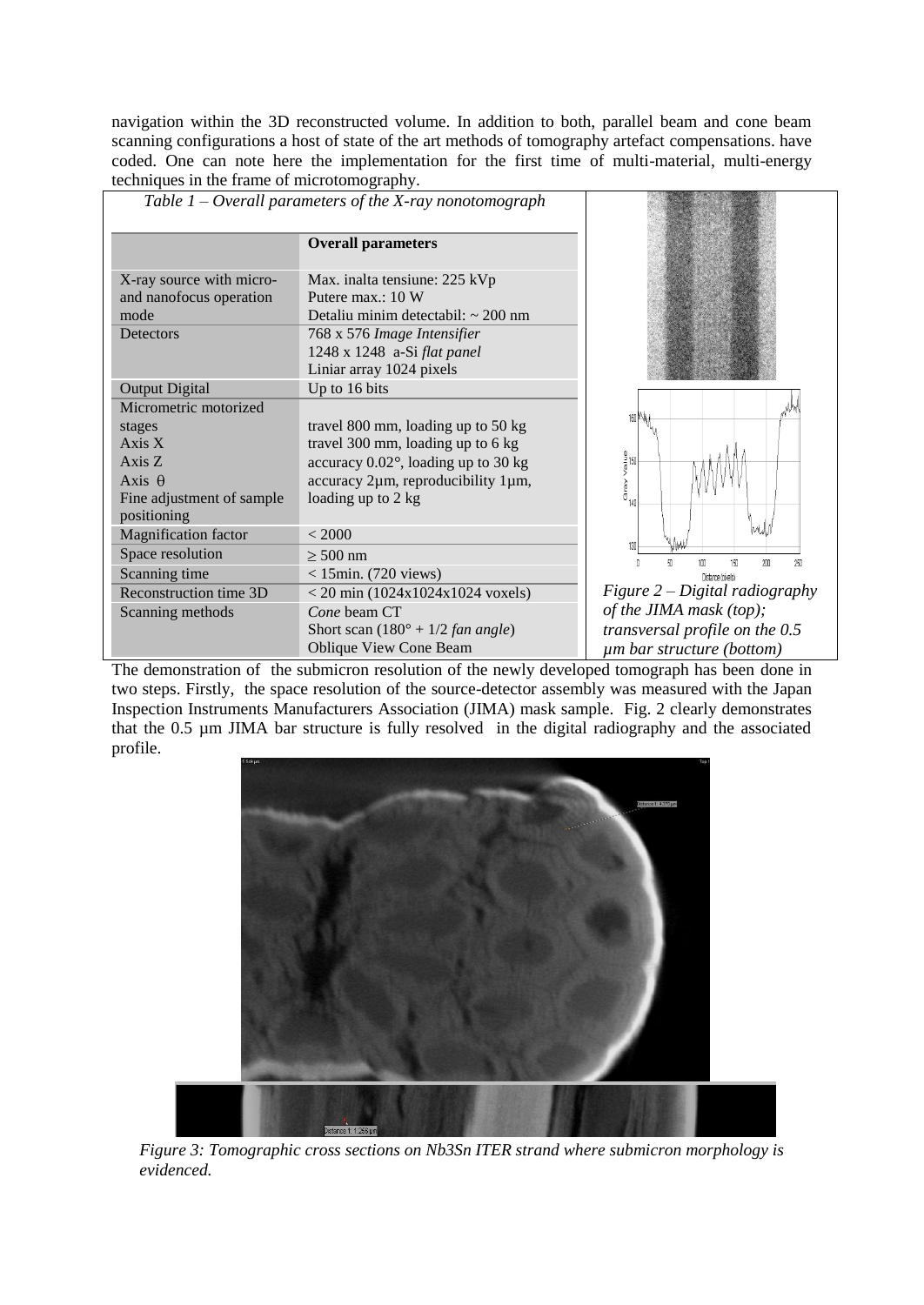navigation within the 3D reconstructed volume. In addition to both, parallel beam and cone beam scanning configurations a host of state of the art methods of tomography artefact compensations. have coded. One can note here the implementation for the first time of multi-material, multi-energy techniques in the frame of microtomography.

| Table $1$ – Overall parameters of the X-ray nonotomograph                                                                                 |                                                                                                                                                                                                                 |                                                                                                                                                                                   |
|-------------------------------------------------------------------------------------------------------------------------------------------|-----------------------------------------------------------------------------------------------------------------------------------------------------------------------------------------------------------------|-----------------------------------------------------------------------------------------------------------------------------------------------------------------------------------|
|                                                                                                                                           | <b>Overall parameters</b>                                                                                                                                                                                       |                                                                                                                                                                                   |
| X-ray source with micro-<br>and nanofocus operation<br>mode<br>Detectors                                                                  | Max. inalta tensiune: 225 kVp<br>Putere max.: 10 W<br>Detaliu minim detectabil: $\sim$ 200 nm<br>768 x 576 Image Intensifier<br>1248 x 1248 a-Si flat panel<br>Liniar array 1024 pixels                         |                                                                                                                                                                                   |
| <b>Output Digital</b><br>Micrometric motorized<br>stages<br>Axis X<br>Axis Z<br>Axis $\theta$<br>Fine adjustment of sample<br>positioning | Up to 16 bits<br>travel 800 mm, loading up to 50 kg<br>travel 300 mm, loading up to 6 kg<br>accuracy $0.02^{\circ}$ , loading up to 30 kg<br>$accuracy$ 2 $µm$ , reproducibility 1 $µm$ ,<br>loading up to 2 kg | 160 MA<br>$\frac{9}{9}$ 150<br>><br>Gray<br>140                                                                                                                                   |
| <b>Magnification</b> factor<br>Space resolution<br>Scanning time<br>Reconstruction time 3D<br>Scanning methods                            | < 2000<br>$\geq 500$ nm<br>$<$ 15min. (720 views)<br>$<$ 20 min (1024x1024x1024 voxels)<br>Cone beam CT<br>Short scan $(180^\circ + 1/2 \text{ fan angle})$<br><b>Oblique View Cone Beam</b>                    | 130<br>50<br>200<br>250<br>150<br>Distance (pixels)<br>Figure $2$ – Digital radiography<br>of the JIMA mask (top);<br>transversal profile on the 0.5<br>um bar structure (bottom) |

The demonstration of the submicron resolution of the newly developed tomograph has been done in two steps. Firstly, the space resolution of the source-detector assembly was measured with the Japan Inspection Instruments Manufacturers Association (JIMA) mask sample. Fig. 2 clearly demonstrates that the 0.5 µm JIMA bar structure is fully resolved in the digital radiography and the associated profile.



*Figure 3: Tomographic cross sections on Nb3Sn ITER strand where submicron morphology is evidenced.*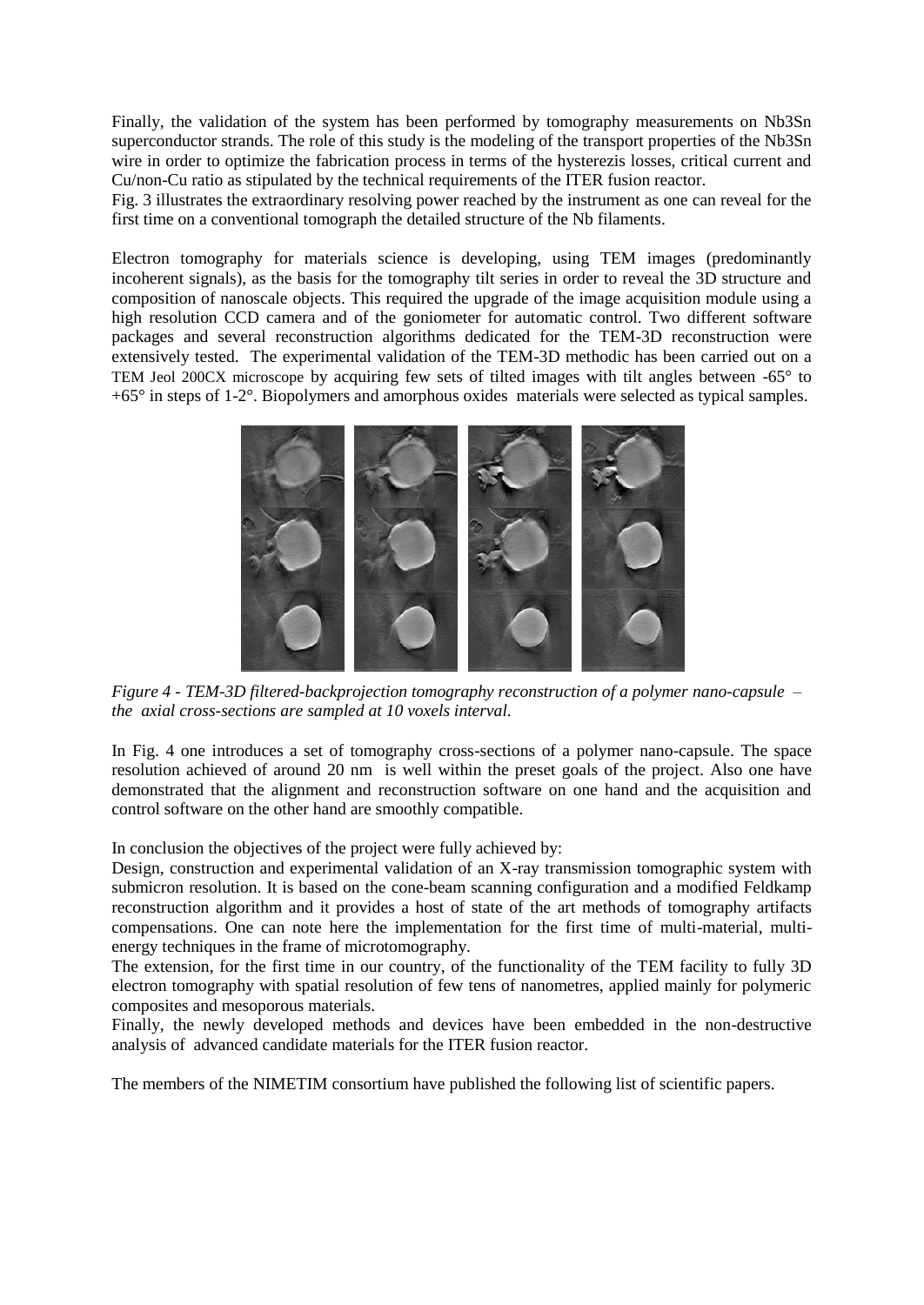Finally, the validation of the system has been performed by tomography measurements on Nb3Sn superconductor strands. The role of this study is the modeling of the transport properties of the Nb3Sn wire in order to optimize the fabrication process in terms of the hysterezis losses, critical current and Cu/non-Cu ratio as stipulated by the technical requirements of the ITER fusion reactor.

Fig. 3 illustrates the extraordinary resolving power reached by the instrument as one can reveal for the first time on a conventional tomograph the detailed structure of the Nb filaments.

Electron tomography for materials science is developing, using TEM images (predominantly incoherent signals), as the basis for the tomography tilt series in order to reveal the 3D structure and composition of nanoscale objects. This required the upgrade of the image acquisition module using a high resolution CCD camera and of the goniometer for automatic control. Two different software packages and several reconstruction algorithms dedicated for the TEM-3D reconstruction were extensively tested. The experimental validation of the TEM-3D methodic has been carried out on a TEM Jeol 200CX microscope by acquiring few sets of tilted images with tilt angles between -65° to +65° in steps of 1-2°. Biopolymers and amorphous oxides materials were selected as typical samples.



*Figure 4 - TEM-3D filtered-backprojection tomography reconstruction of a polymer nano-capsule – the axial cross-sections are sampled at 10 voxels interval.*

In Fig. 4 one introduces a set of tomography cross-sections of a polymer nano-capsule. The space resolution achieved of around 20 nm is well within the preset goals of the project. Also one have demonstrated that the alignment and reconstruction software on one hand and the acquisition and control software on the other hand are smoothly compatible.

In conclusion the objectives of the project were fully achieved by:

Design, construction and experimental validation of an X-ray transmission tomographic system with submicron resolution. It is based on the cone-beam scanning configuration and a modified Feldkamp reconstruction algorithm and it provides a host of state of the art methods of tomography artifacts compensations. One can note here the implementation for the first time of multi-material, multienergy techniques in the frame of microtomography.

The extension, for the first time in our country, of the functionality of the TEM facility to fully 3D electron tomography with spatial resolution of few tens of nanometres, applied mainly for polymeric composites and mesoporous materials.

Finally, the newly developed methods and devices have been embedded in the non-destructive analysis of advanced candidate materials for the ITER fusion reactor.

The members of the NIMETIM consortium have published the following list of scientific papers.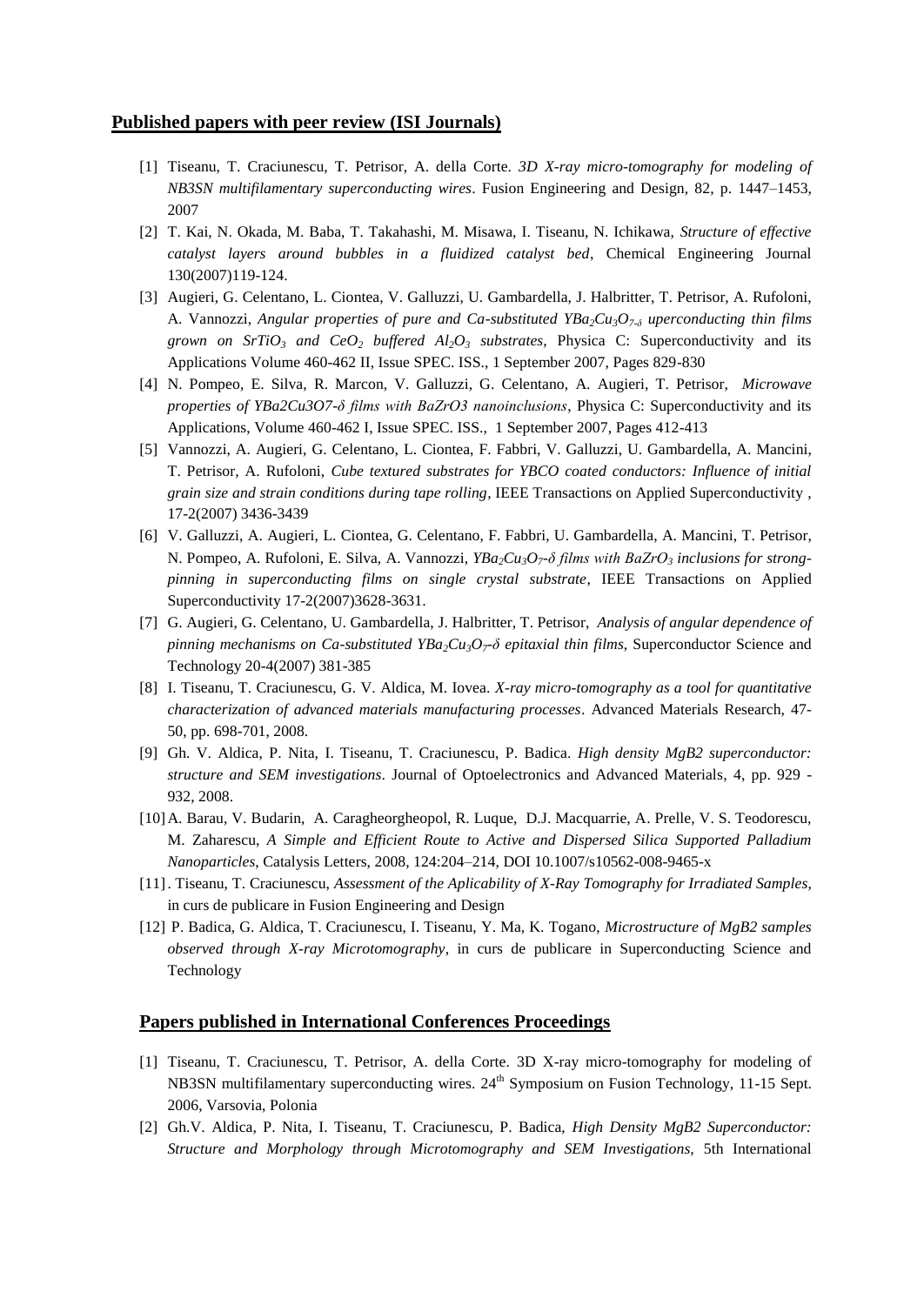## **Published papers with peer review (ISI Journals)**

- [1] Tiseanu, T. Craciunescu, T. Petrisor, A. della Corte. *3D X-ray micro-tomography for modeling of NB3SN multifilamentary superconducting wires*. Fusion Engineering and Design, 82, p. 1447–1453, 2007
- [2] T. Kai, N. Okada, M. Baba, T. Takahashi, M. Misawa, I. Tiseanu, N. Ichikawa, *Structure of effective catalyst layers around bubbles in a fluidized catalyst bed*, [Chemical Engineering Journal](http://www.sciencedirect.com/science/journal/13858947) 130(2007)119-124.
- [3] [Augieri,](http://www.scopus.com/scopus/search/submit/author.url?author=Augieri%2c+A.&authorId=8602108400&origin=recordpage) G. [Celentano, L](http://www.scopus.com/scopus/search/submit/author.url?author=Celentano%2c+G.&authorId=8602108600&origin=recordpage). [Ciontea, V](http://www.scopus.com/scopus/search/submit/author.url?author=Ciontea%2c+L.&authorId=8602108700&origin=recordpage). [Galluzzi, U](http://www.scopus.com/scopus/search/submit/author.url?author=Galluzzi%2c+V.&authorId=6602316154&origin=recordpage). [Gambardella, J](http://www.scopus.com/scopus/search/submit/author.url?author=Gambardella%2c+U.&authorId=13205405200&origin=recordpage)[. Halbritter, T](http://www.scopus.com/scopus/search/submit/author.url?author=Halbritter%2c+J.&authorId=10241019100&origin=recordpage). [Petrisor, A](http://www.scopus.com/scopus/search/submit/author.url?author=Petrisor%2c+T.&authorId=8602109200&origin=recordpage). [Rufoloni,](http://www.scopus.com/scopus/search/submit/author.url?author=Rufoloni%2c+A.&authorId=6505961297&origin=recordpage)  A. [Vannozzi,](http://www.scopus.com/scopus/search/submit/author.url?author=Vannozzi%2c+A.&authorId=6507617045&origin=recordpage) *Angular properties of pure and Ca-substituted YBa2Cu3O7-δ uperconducting thin films grown on SrTiO<sub>3</sub></sub> and CeO<sub>2</sub> buffered*  $Al_2O_3$  *substrates, Physica C: Superconductivity and its* [Applications](http://www.scopus.com/scopus/source/sourceInfo.url?sourceId=29119) Volume 460-462 II, Issue SPEC. ISS., 1 September 2007, Pages 829-830
- [4] N. [Pompeo, E](http://www.scopus.com/scopus/search/submit/author.url?author=Pompeo%2c+N.&authorId=8326455700&origin=recordpage). [Silva, R](http://www.scopus.com/scopus/search/submit/author.url?author=Silva%2c+E.&authorId=7201855087&origin=recordpage). [Marcon, V](http://www.scopus.com/scopus/search/submit/author.url?author=Marcon%2c+R.&authorId=22967973600&origin=recordpage). [Galluzzi, G](http://www.scopus.com/scopus/search/submit/author.url?author=Galluzzi%2c+V.&authorId=6602316154&origin=recordpage). [Celentano, A](http://www.scopus.com/scopus/search/submit/author.url?author=Celentano%2c+G.&authorId=8602108600&origin=recordpage). [Augieri, T](http://www.scopus.com/scopus/search/submit/author.url?author=Augieri%2c+A.&authorId=8602108400&origin=recordpage). [Petrisor,](http://www.scopus.com/scopus/search/submit/author.url?author=Petrisor%2c+T.&authorId=19933908700&origin=recordpage) *Microwave properties of YBa2Cu3O7-δ films with BaZrO3 nanoinclusions*, [Physica C: Superconductivity and its](http://www.scopus.com/scopus/source/sourceInfo.url?sourceId=29119)  [Applications,](http://www.scopus.com/scopus/source/sourceInfo.url?sourceId=29119) Volume 460-462 I, Issue SPEC. ISS., 1 September 2007, Pages 412-413
- [5] [Vannozzi, A](http://www.scopus.com/scopus/search/submit/author.url?author=Vannozzi%2c+A.&authorId=6507617045&origin=recordpage). [Augieri, G](http://www.scopus.com/scopus/search/submit/author.url?author=Augieri%2c+A.&authorId=8602108400&origin=recordpage). [Celentano, L](http://www.scopus.com/scopus/search/submit/author.url?author=Celentano%2c+G.&authorId=8602108600&origin=recordpage). [Ciontea, F](http://www.scopus.com/scopus/search/submit/author.url?author=Ciontea%2c+L.&authorId=8602108700&origin=recordpage). [Fabbri, V](http://www.scopus.com/scopus/search/submit/author.url?author=Fabbri%2c+F.&authorId=7102957584&origin=recordpage). [Galluzzi, U](http://www.scopus.com/scopus/search/submit/author.url?author=Galluzzi%2c+V.&authorId=6602316154&origin=recordpage). [Gambardella, A](http://www.scopus.com/scopus/search/submit/author.url?author=Gambardella%2c+U.&authorId=13205405200&origin=recordpage). [Mancini,](http://www.scopus.com/scopus/search/submit/author.url?author=Mancini%2c+A.&authorId=7201831192&origin=recordpage)  T. [Petrisor, A](http://www.scopus.com/scopus/search/submit/author.url?author=Petrisor%2c+T.&authorId=8602109200&origin=recordpage). [Rufoloni,](http://www.scopus.com/scopus/search/submit/author.url?author=Rufoloni%2c+A.&authorId=6505961297&origin=recordpage) *Cube textured substrates for YBCO coated conductors: Influence of initial grain size and strain conditions during tape rolling*, [IEEE Transactions on Applied Superconductivity](http://www.scopus.com/scopus/source/sourceInfo.url?sourceId=26026) , 17-2(2007) 3436-3439
- [6] V. [Galluzzi, A](http://www.scopus.com/scopus/search/submit/author.url?author=Galluzzi%2c+V.&authorId=6602316154&origin=recordpage). [Augieri, L](http://www.scopus.com/scopus/search/submit/author.url?author=Augieri%2c+A.&authorId=8602108400&origin=recordpage). [Ciontea, G](http://www.scopus.com/scopus/search/submit/author.url?author=Ciontea%2c+L.&authorId=8602108700&origin=recordpage). [Celentano, F](http://www.scopus.com/scopus/search/submit/author.url?author=Celentano%2c+G.&authorId=8602108600&origin=recordpage). [Fabbri, U](http://www.scopus.com/scopus/search/submit/author.url?author=Fabbri%2c+F.&authorId=7102957584&origin=recordpage). [Gambardella, A](http://www.scopus.com/scopus/search/submit/author.url?author=Gambardella%2c+U.&authorId=13205405200&origin=recordpage). [Mancini, T](http://www.scopus.com/scopus/search/submit/author.url?author=Mancini%2c+A.&authorId=7201831192&origin=recordpage). [Petrisor,](http://www.scopus.com/scopus/search/submit/author.url?author=Petrisor%2c+T.&authorId=8602109200&origin=recordpage)  N. [Pompeo, A](http://www.scopus.com/scopus/search/submit/author.url?author=Pompeo%2c+N.&authorId=8326455700&origin=recordpage). [Rufoloni, E](http://www.scopus.com/scopus/search/submit/author.url?author=Rufoloni%2c+A.&authorId=6505961297&origin=recordpage). [Silva, A](http://www.scopus.com/scopus/search/submit/author.url?author=Silva%2c+E.&authorId=7201855087&origin=recordpage). [Vannozzi,](http://www.scopus.com/scopus/search/submit/author.url?author=Vannozzi%2c+A.&authorId=6507617045&origin=recordpage) *YBa2Cu3O7-δ films with BaZrO<sup>3</sup> inclusions for strongpinning in superconducting films on single crystal substrate*, [IEEE Transactions on Applied](http://www.scopus.com/scopus/source/sourceInfo.url?sourceId=26026)  [Superconductivity](http://www.scopus.com/scopus/source/sourceInfo.url?sourceId=26026) 17-2(2007)3628-3631.
- [7] G. [Augieri, G](http://www.scopus.com/scopus/search/submit/author.url?author=Augieri%2c+A.&authorId=8602108400&origin=recordpage). [Celentano, U](http://www.scopus.com/scopus/search/submit/author.url?author=Celentano%2c+G.&authorId=8602108600&origin=recordpage). [Gambardella, J](http://www.scopus.com/scopus/search/submit/author.url?author=Gambardella%2c+U.&authorId=13205405200&origin=recordpage). [Halbritter, T](http://www.scopus.com/scopus/search/submit/author.url?author=Halbritter%2c+J.&authorId=10241019100&origin=recordpage)[. Petrisor,](http://www.scopus.com/scopus/search/submit/author.url?author=Petrisor%2c+T.&authorId=8602109200&origin=recordpage) *Analysis of angular dependence of pinning mechanisms on Ca-substituted YBa2Cu3O7-δ epitaxial thin films*, [Superconductor Science and](http://www.scopus.com/scopus/source/sourceInfo.url?sourceId=12278)  [Technology](http://www.scopus.com/scopus/source/sourceInfo.url?sourceId=12278) 20-4(2007) 381-385
- [8] I. Tiseanu, T. Craciunescu, G. V. Aldica, M. Iovea. *X-ray micro-tomography as a tool for quantitative characterization of advanced materials manufacturing processes*. Advanced Materials Research, 47- 50, pp. 698-701, 2008.
- [9] Gh. V. Aldica, P. Nita, I. Tiseanu, T. Craciunescu, P. Badica. *High density MgB2 superconductor: structure and SEM investigations*. Journal of Optoelectronics and Advanced Materials, 4, pp. 929 - 932, 2008.
- [10]A. Barau, V. Budarin, A. Caragheorgheopol, R. Luque, D.J. Macquarrie, A. Prelle, V. S. Teodorescu, M. Zaharescu, *A Simple and Efficient Route to Active and Dispersed Silica Supported Palladium Nanoparticles*, Catalysis Letters, 2008, 124:204–214, DOI 10.1007/s10562-008-9465-x
- [11]. Tiseanu, T. Craciunescu, *Assessment of the Aplicability of X-Ray Tomography for Irradiated Samples*, in curs de publicare in Fusion Engineering and Design
- [12] P. Badica, G. Aldica, T. Craciunescu, I. Tiseanu, Y. Ma, K. Togano, *Microstructure of MgB2 samples observed through X-ray Microtomography*, in curs de publicare in Superconducting Science and Technology

## **Papers published in International Conferences Proceedings**

- [1] Tiseanu, T. Craciunescu, T. Petrisor, A. della Corte. 3D X-ray micro-tomography for modeling of NB3SN multifilamentary superconducting wires.  $24<sup>th</sup>$  Symposium on Fusion Technology, 11-15 Sept. 2006, Varsovia, Polonia
- [2] Gh.V. Aldica, P. Nita, I. Tiseanu, T. Craciunescu, P. Badica, *High Density MgB2 Superconductor: Structure and Morphology through Microtomography and SEM Investigations,* 5th International